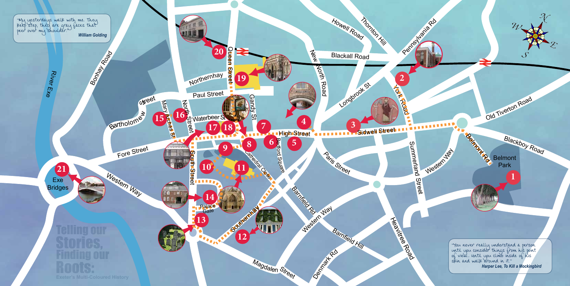